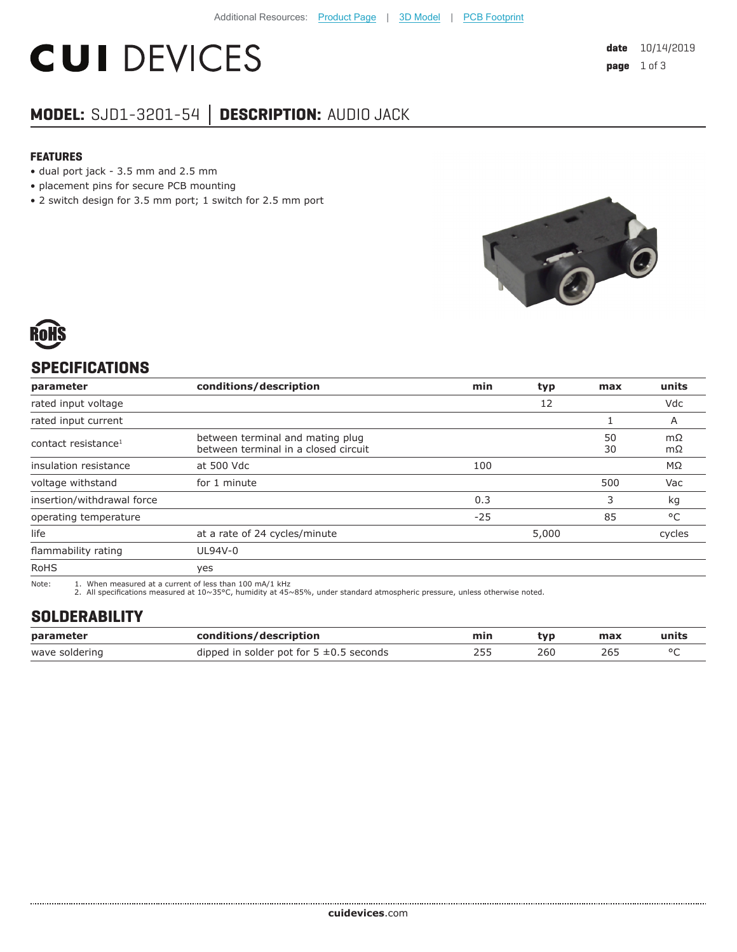# **CUI DEVICES**

### **MODEL:** SJD1-3201-54 **│ DESCRIPTION:** AUDIO JACK

#### **FEATURES**

- dual port jack 3.5 mm and 2.5 mm
- placement pins for secure PCB mounting
- 2 switch design for 3.5 mm port; 1 switch for 2.5 mm port



#### **SPECIFICATIONS**

| parameter                       | conditions/description                                                   | min   | typ   | max      | units     |
|---------------------------------|--------------------------------------------------------------------------|-------|-------|----------|-----------|
| rated input voltage             |                                                                          |       | 12    |          | Vdc       |
| rated input current             |                                                                          |       |       |          | A         |
| contact resistance <sup>1</sup> | between terminal and mating plug<br>between terminal in a closed circuit |       |       | 50<br>30 | mΩ<br>mΩ  |
| insulation resistance           | at 500 Vdc                                                               | 100   |       |          | $M\Omega$ |
| voltage withstand               | for 1 minute                                                             |       |       | 500      | Vac       |
| insertion/withdrawal force      |                                                                          | 0.3   |       | 3        | kg        |
| operating temperature           |                                                                          | $-25$ |       | 85       | °C        |
| life                            | at a rate of 24 cycles/minute                                            |       | 5,000 |          | cycles    |
| flammability rating             | UL94V-0                                                                  |       |       |          |           |
| <b>RoHS</b>                     | yes                                                                      |       |       |          |           |

Note: 1. When measured at a current of less than 100 mA/1 kHz

2. All specifications measured at  $10 \sim 35$ °C, humidity at  $45 \sim 85$ %, under standard atmospheric pressure, unless otherwise noted.

#### **SOLDERABILITY**

| parameter      | conditions/description                       | min | tvp | max | units |
|----------------|----------------------------------------------|-----|-----|-----|-------|
| wave soldering | dipped in solder pot for $5 \pm 0.5$ seconds |     | 260 |     |       |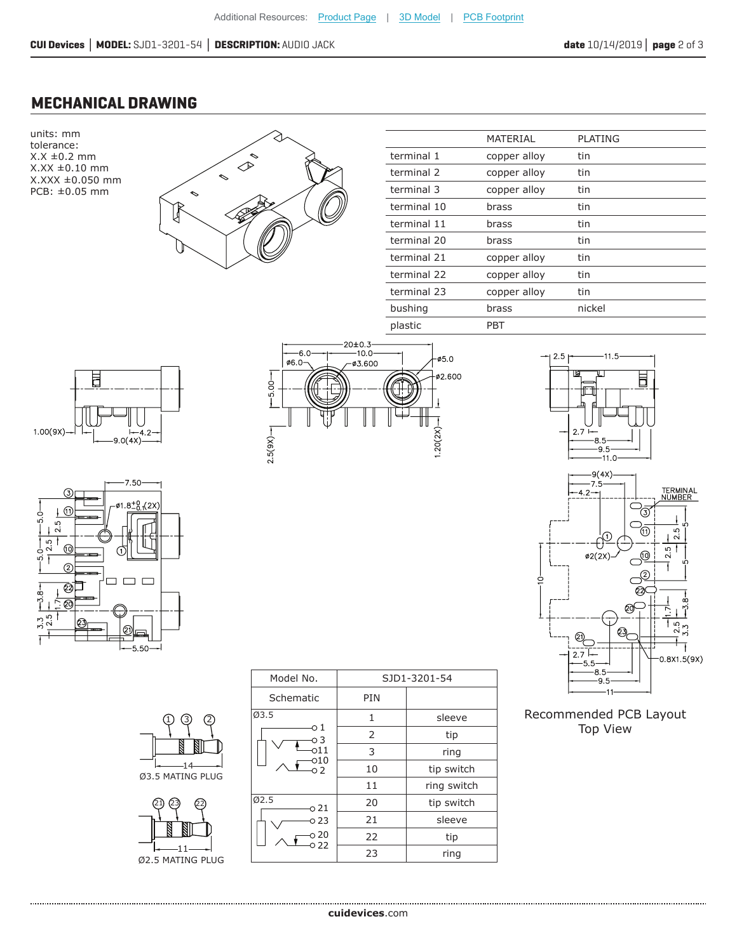#### **MECHANICAL DRAWING**

units: mm tolerance:  $X.X \pm 0.2$  mm X.XX ±0.10 mm X.XXX ±0.050 mm PCB: ±0.05 mm



|             | MATERIAL     | <b>PLATING</b> |  |
|-------------|--------------|----------------|--|
| terminal 1  | copper alloy | tin            |  |
| terminal 2  | copper alloy | tin            |  |
| terminal 3  | copper alloy | tin            |  |
| terminal 10 | brass        | tin            |  |
| terminal 11 | brass        | tin            |  |
| terminal 20 | brass        | tin            |  |
| terminal 21 | copper alloy | tin            |  |
| terminal 22 | copper alloy | tin            |  |
| terminal 23 | copper alloy | tin            |  |
| bushing     | brass        | nickel         |  |
| plastic     | PBT          |                |  |















Recommended PCB Layout Top View

|                      | Model No.    |     | SJD1-3201-54 |  |
|----------------------|--------------|-----|--------------|--|
|                      | Schematic    | PIN |              |  |
| 3                    | Ø3.5         | 1   | sleeve       |  |
|                      | о1<br>о3     | 2   | tip          |  |
|                      | 011          | 3   | ring         |  |
| <b>5 MATING PLUG</b> | 010<br>O 2   | 10  | tip switch   |  |
|                      |              | 11  | ring switch  |  |
| 21)<br>23)<br>22     | Ø2.5<br>o 21 | 20  | tip switch   |  |
|                      | O 23         | 21  | sleeve       |  |
|                      | ວ 20         | 22  | tip          |  |
| E MATING DI HC       | ೦ 22         | 23  | ring         |  |